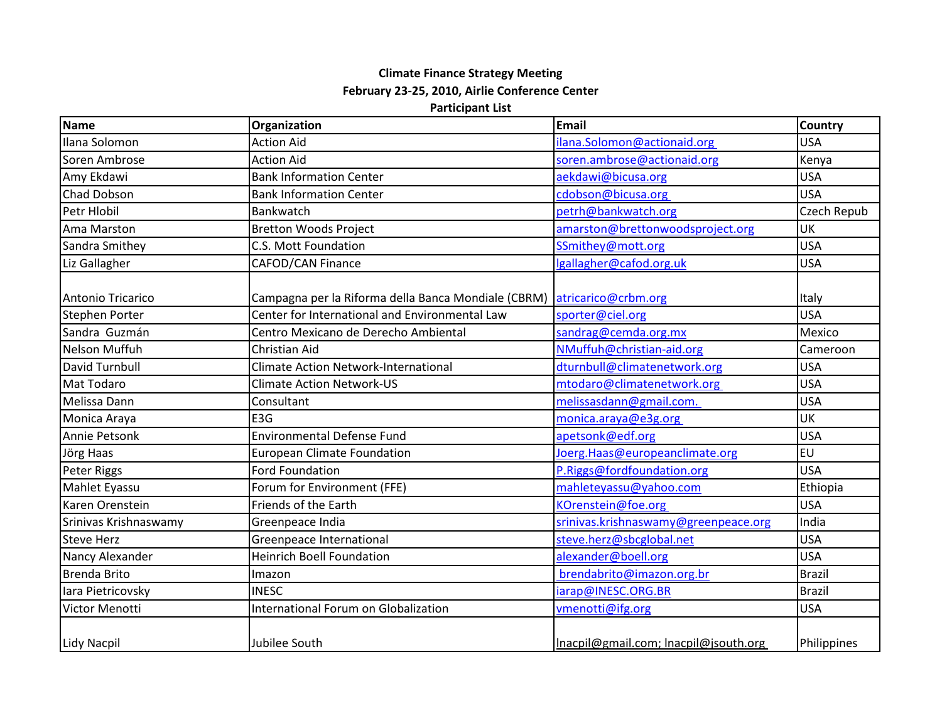## **Climate Finance Strategy Meeting February 23-25, 2010, Airlie Conference Center**

## **Participant List**

| <b>Name</b>           | Organization                                        | <b>Email</b>                          | <b>Country</b> |
|-----------------------|-----------------------------------------------------|---------------------------------------|----------------|
| Ilana Solomon         | <b>Action Aid</b>                                   | ilana.Solomon@actionaid.org           | <b>USA</b>     |
| Soren Ambrose         | <b>Action Aid</b>                                   | soren.ambrose@actionaid.org           | Kenya          |
| Amy Ekdawi            | <b>Bank Information Center</b>                      | aekdawi@bicusa.org                    | <b>USA</b>     |
| <b>Chad Dobson</b>    | <b>Bank Information Center</b>                      | cdobson@bicusa.org                    | <b>USA</b>     |
| Petr Hlobil           | Bankwatch                                           | petrh@bankwatch.org                   | Czech Repub    |
| Ama Marston           | <b>Bretton Woods Project</b>                        | amarston@brettonwoodsproject.org      | <b>UK</b>      |
| Sandra Smithey        | C.S. Mott Foundation                                | SSmithey@mott.org                     | <b>USA</b>     |
| Liz Gallagher         | CAFOD/CAN Finance                                   | lgallagher@cafod.org.uk               | <b>USA</b>     |
| Antonio Tricarico     | Campagna per la Riforma della Banca Mondiale (CBRM) | atricarico@crbm.org                   | Italy          |
| <b>Stephen Porter</b> | Center for International and Environmental Law      | sporter@ciel.org                      | <b>USA</b>     |
| Sandra Guzmán         | Centro Mexicano de Derecho Ambiental                | sandrag@cemda.org.mx                  | Mexico         |
| Nelson Muffuh         | Christian Aid                                       | NMuffuh@christian-aid.org             | Cameroon       |
| David Turnbull        | <b>Climate Action Network-International</b>         | dturnbull@climatenetwork.org          | <b>USA</b>     |
| Mat Todaro            | <b>Climate Action Network-US</b>                    | mtodaro@climatenetwork.org            | <b>USA</b>     |
| Melissa Dann          | Consultant                                          | melissasdann@gmail.com.               | <b>USA</b>     |
| Monica Araya          | E3G                                                 | monica.araya@e3g.org                  | UK             |
| Annie Petsonk         | <b>Environmental Defense Fund</b>                   | apetsonk@edf.org                      | <b>USA</b>     |
| Jörg Haas             | <b>European Climate Foundation</b>                  | Joerg. Haas@europeanclimate.org       | <b>EU</b>      |
| Peter Riggs           | <b>Ford Foundation</b>                              | P.Riggs@fordfoundation.org            | <b>USA</b>     |
| Mahlet Eyassu         | Forum for Environment (FFE)                         | mahleteyassu@yahoo.com                | Ethiopia       |
| Karen Orenstein       | Friends of the Earth                                | KOrenstein@foe.org                    | <b>USA</b>     |
| Srinivas Krishnaswamy | Greenpeace India                                    | srinivas.krishnaswamy@greenpeace.org  | India          |
| <b>Steve Herz</b>     | Greenpeace International                            | steve.herz@sbcglobal.net              | <b>USA</b>     |
| Nancy Alexander       | <b>Heinrich Boell Foundation</b>                    | alexander@boell.org                   | <b>USA</b>     |
| <b>Brenda Brito</b>   | Imazon                                              | brendabrito@imazon.org.br             | <b>Brazil</b>  |
| lara Pietricovsky     | <b>INESC</b>                                        | iarap@INESC.ORG.BR                    | <b>Brazil</b>  |
| Victor Menotti        | International Forum on Globalization                | vmenotti@ifg.org                      | <b>USA</b>     |
| <b>Lidy Nacpil</b>    | Jubilee South                                       | Inacpil@gmail.com; Inacpil@jsouth.org | Philippines    |